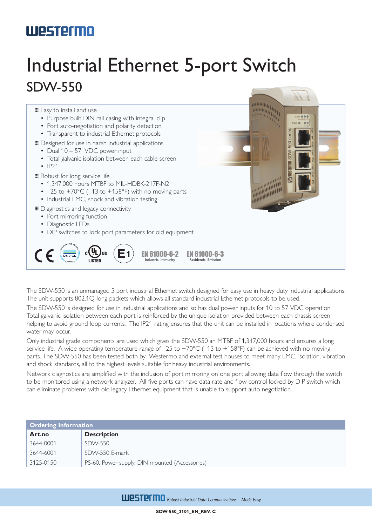## **Westermo**

## Industrial Ethernet 5-port Switch SDW-550

**...** Easy to install and use

- Purpose built DIN rail casing with integral clip
- Port auto-negotiation and polarity detection
- Transparent to industrial Ethernet protocols

… Designed for use in harsh industrial applications

- Dual 10 57 VDC power input
- Total galvanic isolation between each cable screen
- IP21

 $C \in$ 

… Robust for long service life

- 1,347,000 hours MTBF to MIL-HDBK-217F-N2
- $-25$  to  $+70^{\circ}$ C (-13 to  $+158^{\circ}$ F) with no moving parts
- Industrial EMC, shock and vibration testing

 $_{c}$ (V<sub>L</sub>)<sub>us</sub>

… Diagnostics and legacy connectivity

- Port mirroring function
- Diagnostic LEDs
- DIP switches to lock port parameters for old equipment



The SDW-550 is an unmanaged 5 port industrial Ethernet switch designed for easy use in heavy duty industrial applications. The unit supports 802.1Q long packets which allows all standard industrial Ethernet protocols to be used.

The SDW-550 is designed for use in industrial applications and so has dual power inputs for 10 to 57 VDC operation. Total galvanic isolation between each port is reinforced by the unique isolation provided between each chassis screen helping to avoid ground loop currents. The IP21 rating ensures that the unit can be installed in locations where condensed water may occur.

Only industrial grade components are used which gives the SDW-550 an MTBF of 1,347,000 hours and ensures a long service life. A wide operating temperature range of -25 to +70°C (-13 to +158°F) can be achieved with no moving parts. The SDW-550 has been tested both by Westermo and external test houses to meet many EMC, isolation, vibration and shock standards, all to the highest levels suitable for heavy industrial environments.

Network diagnostics are simplified with the inclusion of port mirroring on one port allowing data flow through the switch to be monitored using a network analyzer. All five ports can have data rate and flow control locked by DIP switch which can eliminate problems with old legacy Ethernet equipment that is unable to support auto negotiation.

| <b>Ordering Information</b> |                                                |  |
|-----------------------------|------------------------------------------------|--|
| Art.no                      | <b>Description</b>                             |  |
| 3644-0001                   | SDW-550                                        |  |
| 3644-6001                   | SDW-550 F-mark                                 |  |
| 3125-0150                   | PS-60, Power supply, DIN mounted (Accessories) |  |

**WESTEFMO** Robust Industrial Data Communications - Made Easy